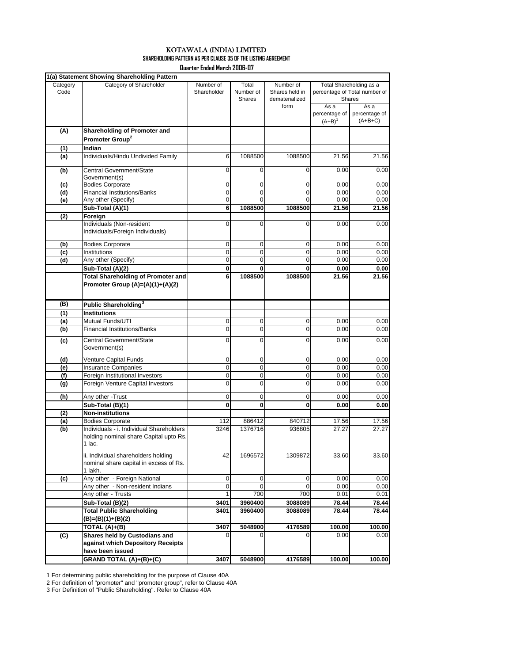|          | 1(a) Statement Showing Shareholding Pattern                   |                  |               |                  |                         |                               |  |
|----------|---------------------------------------------------------------|------------------|---------------|------------------|-------------------------|-------------------------------|--|
| Category | Category of Shareholder                                       | Number of        | Total         | Number of        | Total Shareholding as a |                               |  |
| Code     |                                                               | Shareholder      | Number of     | Shares held in   |                         | percentage of Total number of |  |
|          |                                                               |                  | <b>Shares</b> | dematerialized   |                         | Shares                        |  |
|          |                                                               |                  |               | form             | As a                    | As a                          |  |
|          |                                                               |                  |               |                  | percentage of           | percentage of                 |  |
|          |                                                               |                  |               |                  | $(A + B)^1$             | $(A+B+C)$                     |  |
| (A)      | Shareholding of Promoter and                                  |                  |               |                  |                         |                               |  |
|          | Promoter Group <sup>2</sup>                                   |                  |               |                  |                         |                               |  |
| (1)      | Indian                                                        |                  |               |                  |                         |                               |  |
| (a)      | Individuals/Hindu Undivided Family                            | 6                | 1088500       | 1088500          | 21.56                   | 21.56                         |  |
|          |                                                               |                  |               |                  |                         |                               |  |
| (b)      | Central Government/State                                      | 0                | 0             | $\mathbf 0$      | 0.00                    | 0.00                          |  |
| (c)      | Government(s)<br><b>Bodies Corporate</b>                      | 0                | 0             | 0                | 0.00                    | 0.00                          |  |
| (d)      | <b>Financial Institutions/Banks</b>                           | 0                | 0             | 0                | 0.00                    | 0.00                          |  |
| (e)      | Any other (Specify)                                           | $\mathbf 0$      | 0             | $\Omega$         | 0.00                    | 0.00                          |  |
|          | Sub-Total (A)(1)                                              | 6                | 1088500       | 1088500          | 21.56                   | 21.56                         |  |
| (2)      | Foreign                                                       |                  |               |                  |                         |                               |  |
|          | Individuals (Non-resident                                     | 0                | $\mathbf 0$   | $\mathbf 0$      | 0.00                    | 0.00                          |  |
|          | Individuals/Foreign Individuals)                              |                  |               |                  |                         |                               |  |
|          |                                                               |                  |               |                  |                         |                               |  |
| (b)      | <b>Bodies Corporate</b>                                       | 0                | 0             | 0                | 0.00                    | 0.00                          |  |
| (c)      | Institutions                                                  | 0<br>$\mathbf 0$ | 0<br>0        | 0<br>$\mathbf 0$ | 0.00                    | 0.00                          |  |
| (d)      | Any other (Specify)                                           |                  |               |                  | 0.00                    | 0.00                          |  |
|          | Sub-Total (A)(2)<br><b>Total Shareholding of Promoter and</b> | 0<br>6           | 0             | 0                | 0.00                    | 0.00                          |  |
|          |                                                               |                  | 1088500       | 1088500          | 21.56                   | 21.56                         |  |
|          | Promoter Group (A)=(A)(1)+(A)(2)                              |                  |               |                  |                         |                               |  |
|          |                                                               |                  |               |                  |                         |                               |  |
| (B)      | Public Shareholding <sup>3</sup>                              |                  |               |                  |                         |                               |  |
| (1)      | <b>Institutions</b>                                           |                  |               |                  |                         |                               |  |
| (a)      | Mutual Funds/UTI                                              | 0                | 0             | 0                | 0.00                    | 0.00                          |  |
| (b)      | <b>Financial Institutions/Banks</b>                           | 0                | 0             | 0                | 0.00                    | 0.00                          |  |
| (c)      | Central Government/State                                      | $\overline{0}$   | 0             | $\mathbf 0$      | 0.00                    | 0.00                          |  |
|          | Government(s)                                                 |                  |               |                  |                         |                               |  |
| (d)      | Venture Capital Funds                                         | 0                | 0             | 0                | 0.00                    | 0.00                          |  |
| (e)      | <b>Insurance Companies</b>                                    | 0                | 0             | 0                | 0.00                    | 0.00                          |  |
| (f)      | Foreign Institutional Investors                               | 0                | 0             | 0                | 0.00                    | 0.00                          |  |
| (g)      | Foreign Venture Capital Investors                             | 0                | 0             | 0                | 0.00                    | 0.00                          |  |
|          |                                                               |                  |               |                  |                         |                               |  |
| (h)      | Any other -Trust                                              | 0                | 0             | 0                | 0.00                    | 0.00                          |  |
|          | Sub-Total (B)(1)                                              | 0                | $\mathbf 0$   | 0                | 0.00                    | 0.00                          |  |
| (2)      | <b>Non-institutions</b><br><b>Bodies Corporate</b>            | 112              | 886412        | 840712           |                         |                               |  |
| (a)      | Individuals - i. Individual Shareholders                      | 3246             | 1376716       | 936805           | 17.56<br>27.27          | 17.56<br>27.27                |  |
| (b)      | holding nominal share Capital upto Rs.                        |                  |               |                  |                         |                               |  |
|          | 1 lac.                                                        |                  |               |                  |                         |                               |  |
|          |                                                               |                  |               |                  |                         |                               |  |
|          | ii. Individual shareholders holding                           | 42               | 1696572       | 1309872          | 33.60                   | 33.60                         |  |
|          | nominal share capital in excess of Rs.                        |                  |               |                  |                         |                               |  |
|          | 1 lakh.<br>Any other - Foreign National                       | 0                | $\mathbf 0$   | 0                | 0.00                    | 0.00                          |  |
| (c)      | Any other - Non-resident Indians                              | 0                | 0             | 0                | 0.00                    | 0.00                          |  |
|          | Any other - Trusts                                            | 1                | 700           | 700              | 0.01                    | 0.01                          |  |
|          | Sub-Total (B)(2)                                              | 3401             | 3960400       | 3088089          | 78.44                   | 78.44                         |  |
|          | <b>Total Public Shareholding</b>                              | 3401             | 3960400       | 3088089          | 78.44                   | 78.44                         |  |
|          | (B)=(B)(1)+(B)(2)                                             |                  |               |                  |                         |                               |  |
|          | TOTAL (A)+(B)                                                 | 3407             | 5048900       | 4176589          | 100.00                  | 100.00                        |  |
| (C)      | Shares held by Custodians and                                 | 0                | $\Omega$      | O                | 0.00                    | 0.00                          |  |
|          | against which Depository Receipts                             |                  |               |                  |                         |                               |  |
|          | have been issued                                              |                  |               |                  |                         |                               |  |
|          | GRAND TOTAL (A)+(B)+(C)                                       | 3407             | 5048900       | 4176589          | 100.00                  | 100.00                        |  |

## **SHAREHOLDING PATTERN AS PER CLAUSE 35 OF THE LISTING AGREEMENT** KOTAWALA (INDIA) LIMITED

**Quarter Ended March 2006-07**

1 For determining public shareholding for the purpose of Clause 40A

2 For definition of "promoter" and "promoter group", refer to Clause 40A

3 For Definition of "Public Shareholding". Refer to Clause 40A